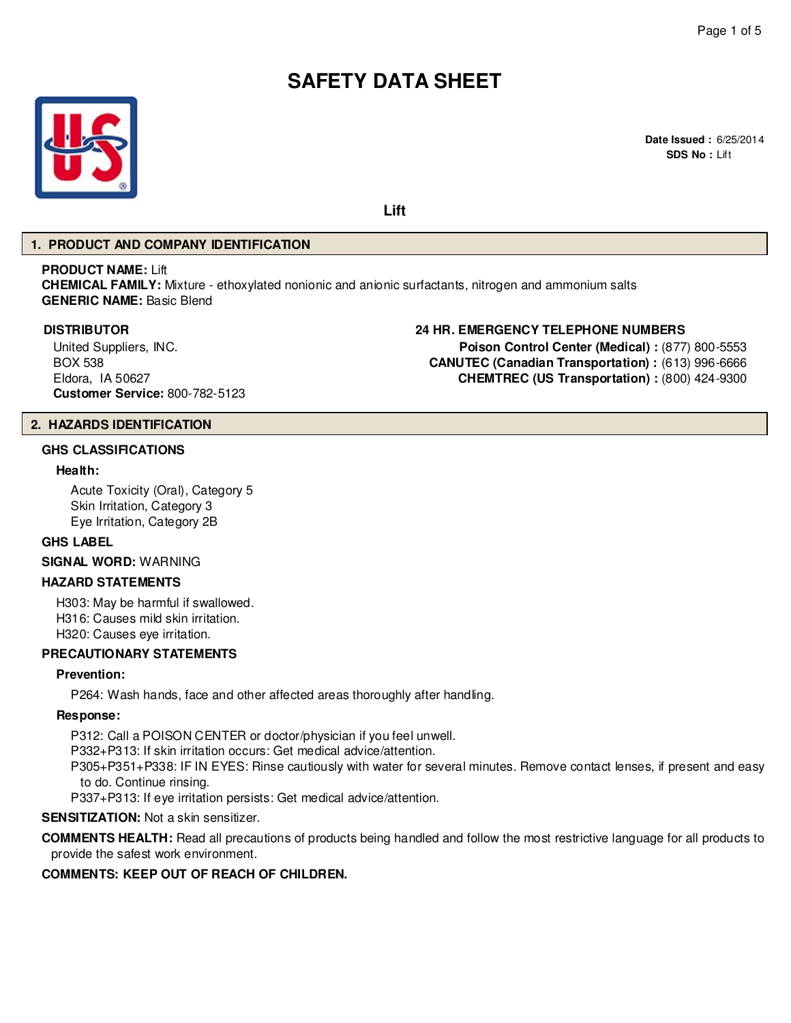# **SAFETY DATA SHEET**



**Lift**

#### **1. PRODUCT AND COMPANY IDENTIFICATION**

#### **PRODUCT NAME:** Lift

**CHEMICAL FAMILY:** Mixture - ethoxylated nonionic and anionic surfactants, nitrogen and ammonium salts **GENERIC NAME:** Basic Blend

United Suppliers, INC. BOX 538 Eldora, IA 50627 **Customer Service:** 800-782-5123

# **DISTRIBUTOR 24 HR. EMERGENCY TELEPHONE NUMBERS**

**Poison Control Center (Medical) :** (877) 800-5553 **CANUTEC (Canadian Transportation) :** (613) 996-6666 **CHEMTREC (US Transportation) :** (800) 424-9300

# **2. HAZARDS IDENTIFICATION**

#### **GHS CLASSIFICATIONS**

#### **Health:**

Acute Toxicity (Oral), Category 5 Skin Irritation, Category 3 Eye Irritation, Category 2B

#### **GHS LABEL**

**SIGNAL WORD:** WARNING

# **HAZARD STATEMENTS**

H303: May be harmful if swallowed. H316: Causes mild skin irritation. H320: Causes eye irritation.

# **PRECAUTIONARY STATEMENTS**

#### **Prevention:**

P264: Wash hands, face and other affected areas thoroughly after handling.

#### **Response:**

P312: Call a POISON CENTER or doctor/physician if you feel unwell.

P332+P313: If skin irritation occurs: Get medical advice/attention.

P305+P351+P338: IF IN EYES: Rinse cautiously with water for several minutes. Remove contact lenses, if present and easy to do. Continue rinsing.

P337+P313: If eye irritation persists: Get medical advice/attention.

#### **SENSITIZATION:** Not a skin sensitizer.

**COMMENTS HEALTH:** Read all precautions of products being handled and follow the most restrictive language for all products to provide the safest work environment.

# **COMMENTS: KEEP OUT OF REACH OF CHILDREN.**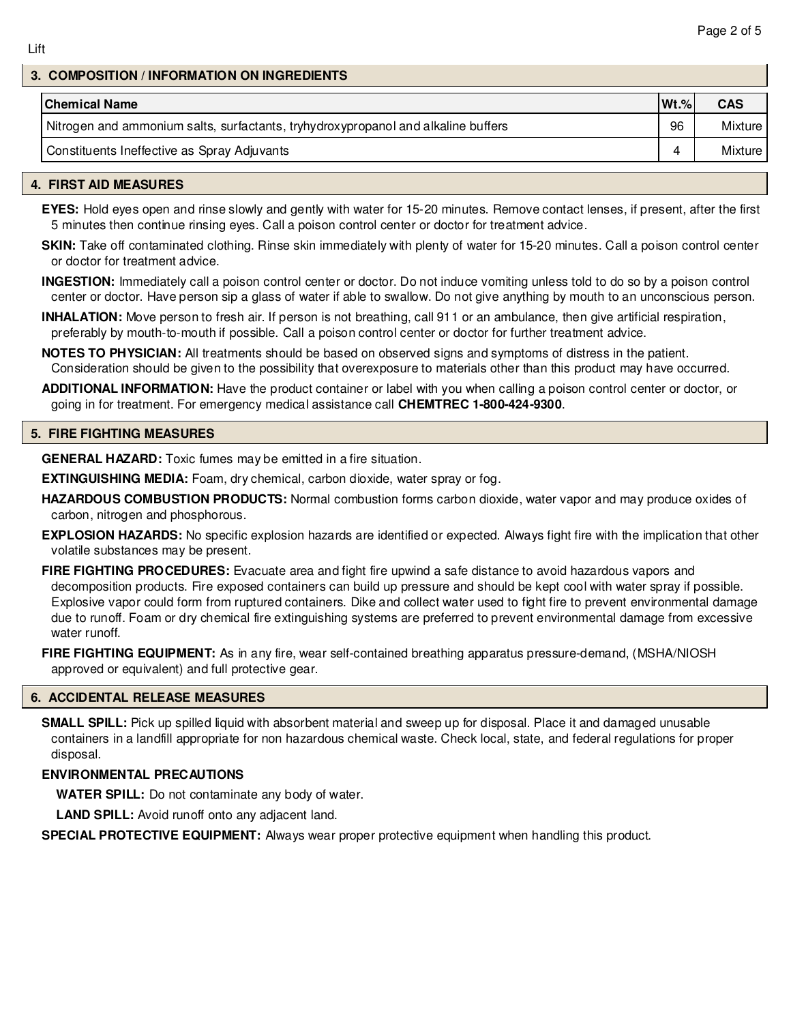#### **3. COMPOSITION / INFORMATION ON INGREDIENTS**

| <b>Chemical Name</b>                                                              | $Wt.$ % | <b>CAS</b> |
|-----------------------------------------------------------------------------------|---------|------------|
| Nitrogen and ammonium salts, surfactants, tryhydroxypropanol and alkaline buffers | 96      | Mixture    |
| Constituents Ineffective as Spray Adjuvants                                       |         | Mixture I  |

#### **4. FIRST AID MEASURES**

**EYES:** Hold eyes open and rinse slowly and gently with water for 15-20 minutes. Remove contact lenses, if present, after the first 5 minutes then continue rinsing eyes. Call a poison control center or doctor for treatment advice.

**SKIN:** Take off contaminated clothing. Rinse skin immediately with plenty of water for 15-20 minutes. Call a poison control center or doctor for treatment advice.

**INGESTION:** Immediately call a poison control center or doctor. Do not induce vomiting unless told to do so by a poison control center or doctor. Have person sip a glass of water if able to swallow. Do not give anything by mouth to an unconscious person.

**INHALATION:** Move person to fresh air. If person is not breathing, call 911 or an ambulance, then give artificial respiration, preferably by mouth-to-mouth if possible. Call a poison control center or doctor for further treatment advice.

**NOTES TO PHYSICIAN:** All treatments should be based on observed signs and symptoms of distress in the patient. Consideration should be given to the possibility that overexposure to materials other than this product may have occurred.

**ADDITIONAL INFORMATION:** Have the product container or label with you when calling a poison control center or doctor, or going in for treatment. For emergency medical assistance call **CHEMTREC 1-800-424-9300**.

#### **5. FIRE FIGHTING MEASURES**

**GENERAL HAZARD:** Toxic fumes may be emitted in a fire situation.

**EXTINGUISHING MEDIA:** Foam, dry chemical, carbon dioxide, water spray or fog.

**HAZARDOUS COMBUSTION PRODUCTS:** Normal combustion forms carbon dioxide, water vapor and may produce oxides of carbon, nitrogen and phosphorous.

**EXPLOSION HAZARDS:** No specific explosion hazards are identified or expected. Always fight fire with the implication that other volatile substances may be present.

**FIRE FIGHTING PROCEDURES:** Evacuate area and fight fire upwind a safe distance to avoid hazardous vapors and decomposition products. Fire exposed containers can build up pressure and should be kept cool with water spray if possible. Explosive vapor could form from ruptured containers. Dike and collect water used to fight fire to prevent environmental damage due to runoff. Foam or dry chemical fire extinguishing systems are preferred to prevent environmental damage from excessive water runoff.

**FIRE FIGHTING EQUIPMENT:** As in any fire, wear self-contained breathing apparatus pressure-demand, (MSHA/NIOSH approved or equivalent) and full protective gear.

# **6. ACCIDENTAL RELEASE MEASURES**

**SMALL SPILL:** Pick up spilled liquid with absorbent material and sweep up for disposal. Place it and damaged unusable containers in a landfill appropriate for non hazardous chemical waste. Check local, state, and federal regulations for proper disposal.

# **ENVIRONMENTAL PRECAUTIONS**

**WATER SPILL:** Do not contaminate any body of water.

**LAND SPILL:** Avoid runoff onto any adjacent land.

**SPECIAL PROTECTIVE EQUIPMENT:** Always wear proper protective equipment when handling this product.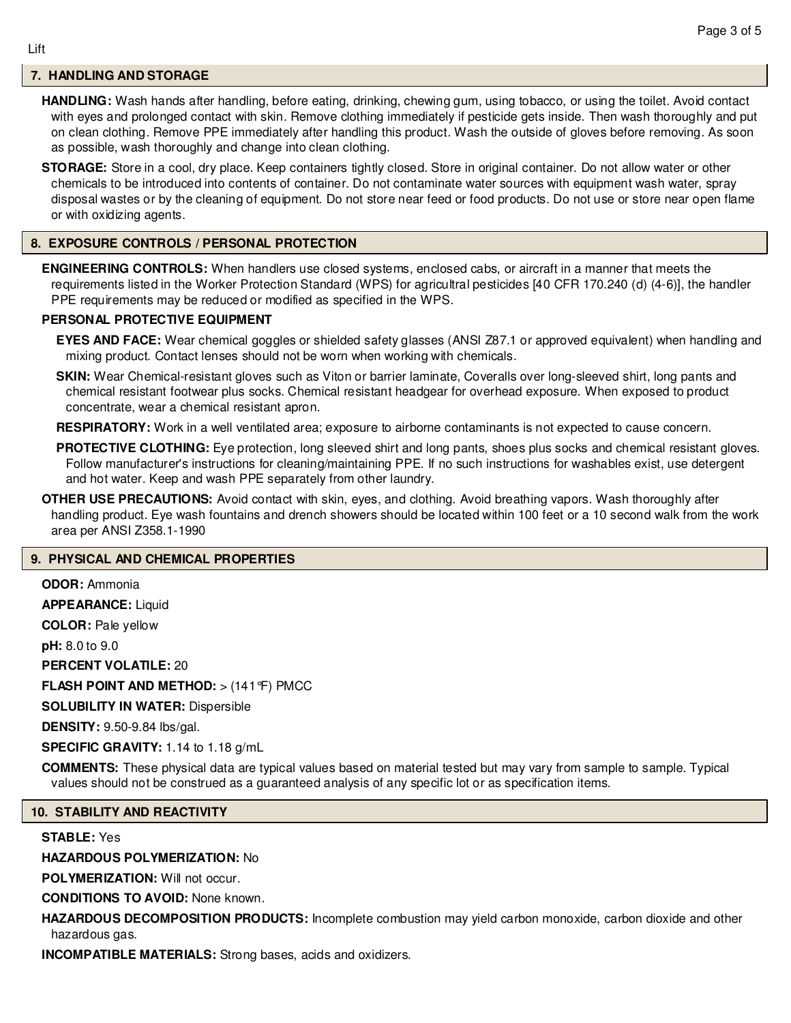# **7. HANDLING AND STORAGE**

**HANDLING:** Wash hands after handling, before eating, drinking, chewing gum, using tobacco, or using the toilet. Avoid contact with eyes and prolonged contact with skin. Remove clothing immediately if pesticide gets inside. Then wash thoroughly and put on clean clothing. Remove PPE immediately after handling this product. Wash the outside of gloves before removing. As soon as possible, wash thoroughly and change into clean clothing.

**STORAGE:** Store in a cool, dry place. Keep containers tightly closed. Store in original container. Do not allow water or other chemicals to be introduced into contents of container. Do not contaminate water sources with equipment wash water, spray disposal wastes or by the cleaning of equipment. Do not store near feed or food products. Do not use or store near open flame or with oxidizing agents.

# **8. EXPOSURE CONTROLS / PERSONAL PROTECTION**

**ENGINEERING CONTROLS:** When handlers use closed systems, enclosed cabs, or aircraft in a manner that meets the requirements listed in the Worker Protection Standard (WPS) for agricultral pesticides [40 CFR 170.240 (d) (4-6)], the handler PPE requirements may be reduced or modified as specified in the WPS.

# **PERSONAL PROTECTIVE EQUIPMENT**

**EYES AND FACE:** Wear chemical goggles or shielded safety glasses (ANSI Z87.1 or approved equivalent) when handling and mixing product. Contact lenses should not be worn when working with chemicals.

**SKIN:** Wear Chemical-resistant gloves such as Viton or barrier laminate, Coveralls over long-sleeved shirt, long pants and chemical resistant footwear plus socks. Chemical resistant headgear for overhead exposure. When exposed to product concentrate, wear a chemical resistant apron.

**RESPIRATORY:** Work in a well ventilated area; exposure to airborne contaminants is not expected to cause concern.

- **PROTECTIVE CLOTHING:** Eye protection, long sleeved shirt and long pants, shoes plus socks and chemical resistant gloves. Follow manufacturer's instructions for cleaning/maintaining PPE. If no such instructions for washables exist, use detergent and hot water. Keep and wash PPE separately from other laundry.
- **OTHER USE PRECAUTIONS:** Avoid contact with skin, eyes, and clothing. Avoid breathing vapors. Wash thoroughly after handling product. Eye wash fountains and drench showers should be located within 100 feet or a 10 second walk from the work area per ANSI Z358.1-1990

# **9. PHYSICAL AND CHEMICAL PROPERTIES**

**ODOR:** Ammonia

**APPEARANCE:** Liquid

**COLOR:** Pale yellow

**pH:** 8.0 to 9.0

**PERCENT VOLATILE:** 20

**FLASH POINT AND METHOD:** > (141°F) PMCC

**SOLUBILITY IN WATER:** Dispersible

**DENSITY:** 9.50-9.84 lbs/gal.

**SPECIFIC GRAVITY:** 1.14 to 1.18 g/mL

**COMMENTS:** These physical data are typical values based on material tested but may vary from sample to sample. Typical values should not be construed as a guaranteed analysis of any specific lot or as specification items.

# **10. STABILITY AND REACTIVITY**

# **STABLE:** Yes

# **HAZARDOUS POLYMERIZATION:** No

**POLYMERIZATION:** Will not occur.

**CONDITIONS TO AVOID:** None known.

**HAZARDOUS DECOMPOSITION PRODUCTS:** Incomplete combustion may yield carbon monoxide, carbon dioxide and other hazardous gas.

**INCOMPATIBLE MATERIALS:** Strong bases, acids and oxidizers.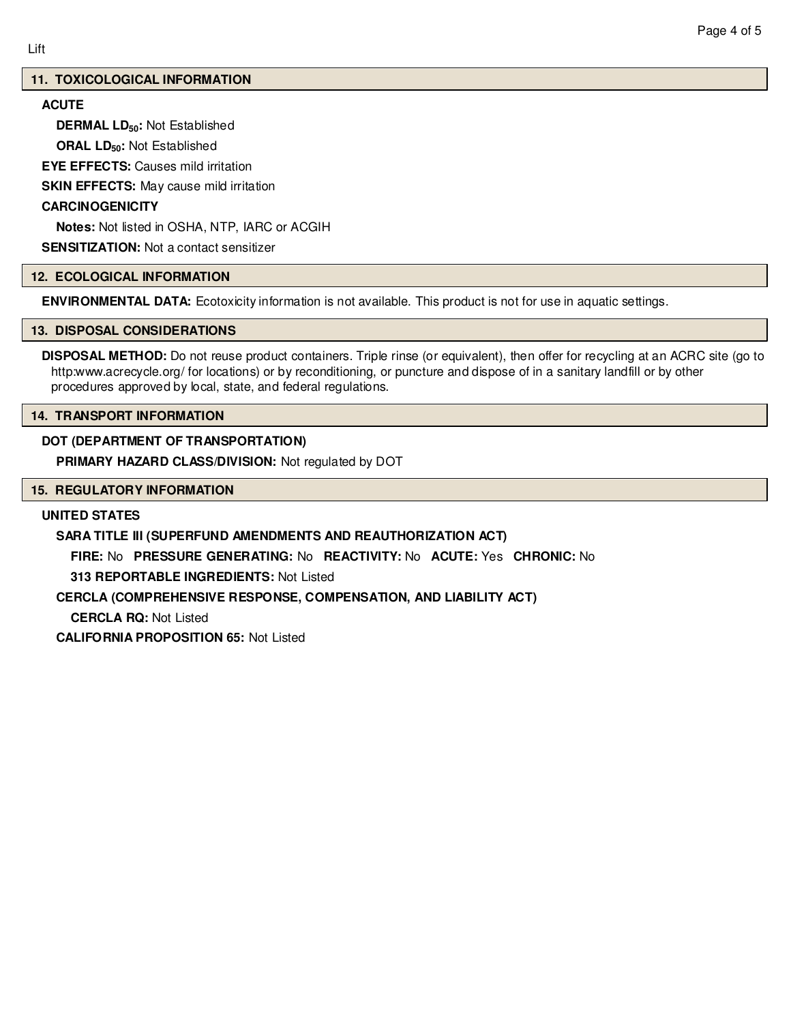# **11. TOXICOLOGICAL INFORMATION**

# **ACUTE**

**DERMAL LD50:** Not Established

**ORAL LD50:** Not Established

**EYE EFFECTS:** Causes mild irritation

**SKIN EFFECTS:** May cause mild irritation

#### **CARCINOGENICITY**

**Notes:** Not listed in OSHA, NTP, IARC or ACGIH

**SENSITIZATION:** Not a contact sensitizer

#### **12. ECOLOGICAL INFORMATION**

**ENVIRONMENTAL DATA:** Ecotoxicity information is not available. This product is not for use in aquatic settings.

#### **13. DISPOSAL CONSIDERATIONS**

**DISPOSAL METHOD:** Do not reuse product containers. Triple rinse (or equivalent), then offer for recycling at an ACRC site (go to http:www.acrecycle.org/ for locations) or by reconditioning, or puncture and dispose of in a sanitary landfill or by other procedures approved by local, state, and federal regulations.

#### **14. TRANSPORT INFORMATION**

# **DOT (DEPARTMENT OF TRANSPORTATION)**

**PRIMARY HAZARD CLASS/DIVISION:** Not regulated by DOT

#### **15. REGULATORY INFORMATION**

#### **UNITED STATES**

**SARA TITLE III (SUPERFUND AMENDMENTS AND REAUTHORIZATION ACT)**

**FIRE:** No **PRESSURE GENERATING:** No **REACTIVITY:** No **ACUTE:** Yes **CHRONIC:** No

**313 REPORTABLE INGREDIENTS:** Not Listed

**CERCLA (COMPREHENSIVE RESPONSE, COMPENSATION, AND LIABILITY ACT)**

**CERCLA RQ:** Not Listed

**CALIFORNIA PROPOSITION 65:** Not Listed